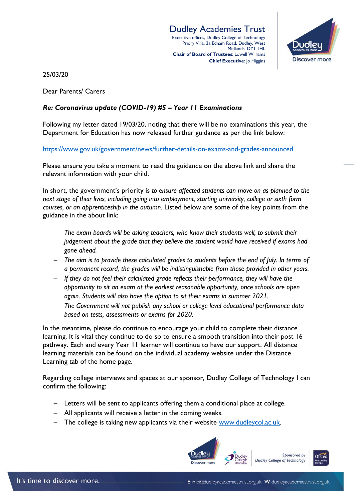Dudley Academies Trust Executive offices, Dudley College of Technology Priory Villa, 3a Ednam Road, Dudley, West Midlands, DY1 1HL **Chair of Board of Trustees**: Lowell Williams **Chief Executive**: Jo Higgins



25/03/20

Dear Parents/ Carers

## *Re: Coronavirus update (COVID-19) #5 – Year 11 Examinations*

Following my letter dated 19/03/20, noting that there will be no examinations this year, the Department for Education has now released further guidance as per the link below:

<https://www.gov.uk/government/news/further-details-on-exams-and-grades-announced>

Please ensure you take a moment to read the guidance on the above link and share the relevant information with your child.

In short, the government's priority is *to ensure affected students can move on as planned to the next stage of their lives, including going into employment, starting university, college or sixth form courses, or an apprenticeship in the autumn.* Listed below are some of the key points from the guidance in the about link:

- *The exam boards will be asking teachers, who know their students well, to submit their judgement about the grade that they believe the student would have received if exams had gone ahead.*
- *The aim is to provide these calculated grades to students before the end of July. In terms of a permanent record, the grades will be indistinguishable from those provided in other years.*
- *If they do not feel their calculated grade reflects their performance, they will have the opportunity to sit an exam at the earliest reasonable opportunity, once schools are open again. Students will also have the option to sit their exams in summer 2021.*
- *The Government will not publish any school or college level educational performance data based on tests, assessments or exams for 2020.*

In the meantime, please do continue to encourage your child to complete their distance learning. It is vital they continue to do so to ensure a smooth transition into their post 16 pathway. Each and every Year 11 learner will continue to have our support. All distance learning materials can be found on the individual academy website under the Distance Learning tab of the home page.

Regarding college interviews and spaces at our sponsor, Dudley College of Technology I can confirm the following:

- Letters will be sent to applicants offering them a conditional place at college.
- All applicants will receive a letter in the coming weeks.
- The college is taking new applicants via their website [www.dudleycol.ac.uk.](http://www.dudleycol.ac.uk/)